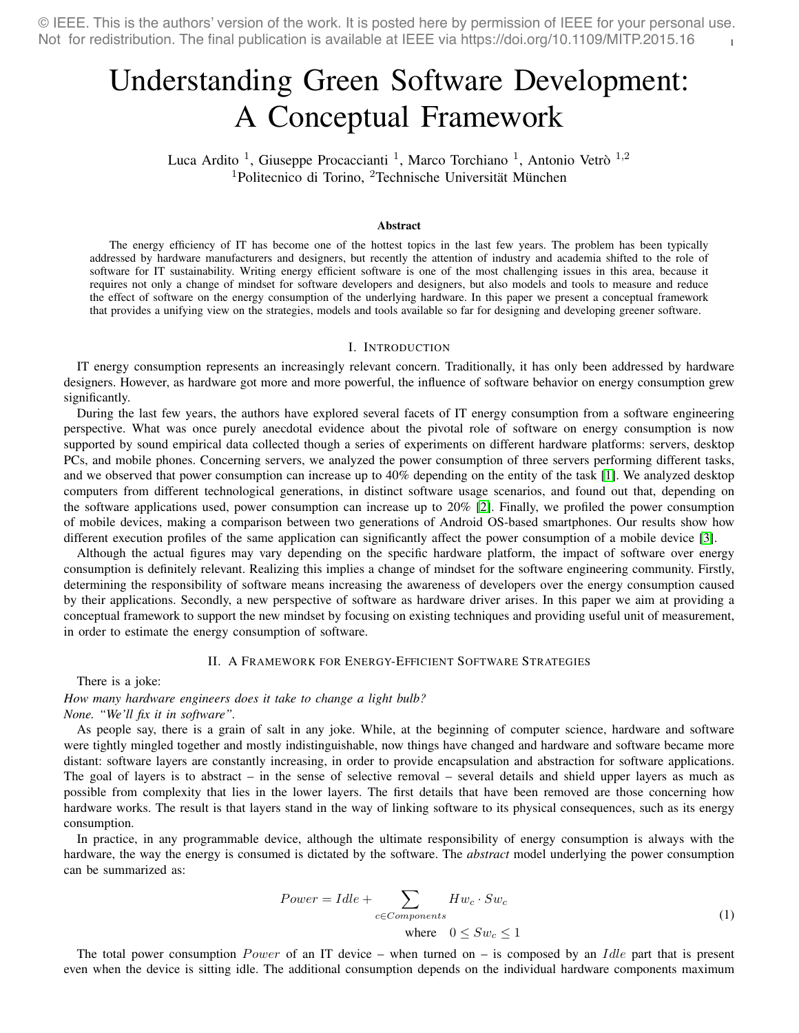1 © IEEE. This is the authors' version of the work. It is posted here by permission of IEEE for your personal use. Not for redistribution. The final publication is available at IEEE via https://doi.org/10.1109/MITP.2015.16

# Understanding Green Software Development: A Conceptual Framework

Luca Ardito<sup>1</sup>, Giuseppe Procaccianti<sup>1</sup>, Marco Torchiano<sup>1</sup>, Antonio Vetrò<sup>1,2</sup>  $1$ Politecnico di Torino,  $2$ Technische Universität München

#### Abstract

The energy efficiency of IT has become one of the hottest topics in the last few years. The problem has been typically addressed by hardware manufacturers and designers, but recently the attention of industry and academia shifted to the role of software for IT sustainability. Writing energy efficient software is one of the most challenging issues in this area, because it requires not only a change of mindset for software developers and designers, but also models and tools to measure and reduce the effect of software on the energy consumption of the underlying hardware. In this paper we present a conceptual framework that provides a unifying view on the strategies, models and tools available so far for designing and developing greener software.

#### I. INTRODUCTION

IT energy consumption represents an increasingly relevant concern. Traditionally, it has only been addressed by hardware designers. However, as hardware got more and more powerful, the influence of software behavior on energy consumption grew significantly.

During the last few years, the authors have explored several facets of IT energy consumption from a software engineering perspective. What was once purely anecdotal evidence about the pivotal role of software on energy consumption is now supported by sound empirical data collected though a series of experiments on different hardware platforms: servers, desktop PCs, and mobile phones. Concerning servers, we analyzed the power consumption of three servers performing different tasks, and we observed that power consumption can increase up to 40% depending on the entity of the task [\[1\]](#page-5-0). We analyzed desktop computers from different technological generations, in distinct software usage scenarios, and found out that, depending on the software applications used, power consumption can increase up to 20% [\[2\]](#page-5-1). Finally, we profiled the power consumption of mobile devices, making a comparison between two generations of Android OS-based smartphones. Our results show how different execution profiles of the same application can significantly affect the power consumption of a mobile device [\[3\]](#page-5-2).

Although the actual figures may vary depending on the specific hardware platform, the impact of software over energy consumption is definitely relevant. Realizing this implies a change of mindset for the software engineering community. Firstly, determining the responsibility of software means increasing the awareness of developers over the energy consumption caused by their applications. Secondly, a new perspective of software as hardware driver arises. In this paper we aim at providing a conceptual framework to support the new mindset by focusing on existing techniques and providing useful unit of measurement, in order to estimate the energy consumption of software.

## II. A FRAMEWORK FOR ENERGY-EFFICIENT SOFTWARE STRATEGIES

There is a joke:

*How many hardware engineers does it take to change a light bulb? None. "We'll fix it in software".*

As people say, there is a grain of salt in any joke. While, at the beginning of computer science, hardware and software were tightly mingled together and mostly indistinguishable, now things have changed and hardware and software became more distant: software layers are constantly increasing, in order to provide encapsulation and abstraction for software applications. The goal of layers is to abstract – in the sense of selective removal – several details and shield upper layers as much as possible from complexity that lies in the lower layers. The first details that have been removed are those concerning how hardware works. The result is that layers stand in the way of linking software to its physical consequences, such as its energy consumption.

In practice, in any programmable device, although the ultimate responsibility of energy consumption is always with the hardware, the way the energy is consumed is dictated by the software. The *abstract* model underlying the power consumption can be summarized as:

$$
Power = Idle + \sum_{c \in Components} Hw_c \cdot Sw_c
$$
  
where  $0 \le Sw_c \le 1$  (1)

The total power consumption Power of an IT device – when turned on – is composed by an Idle part that is present even when the device is sitting idle. The additional consumption depends on the individual hardware components maximum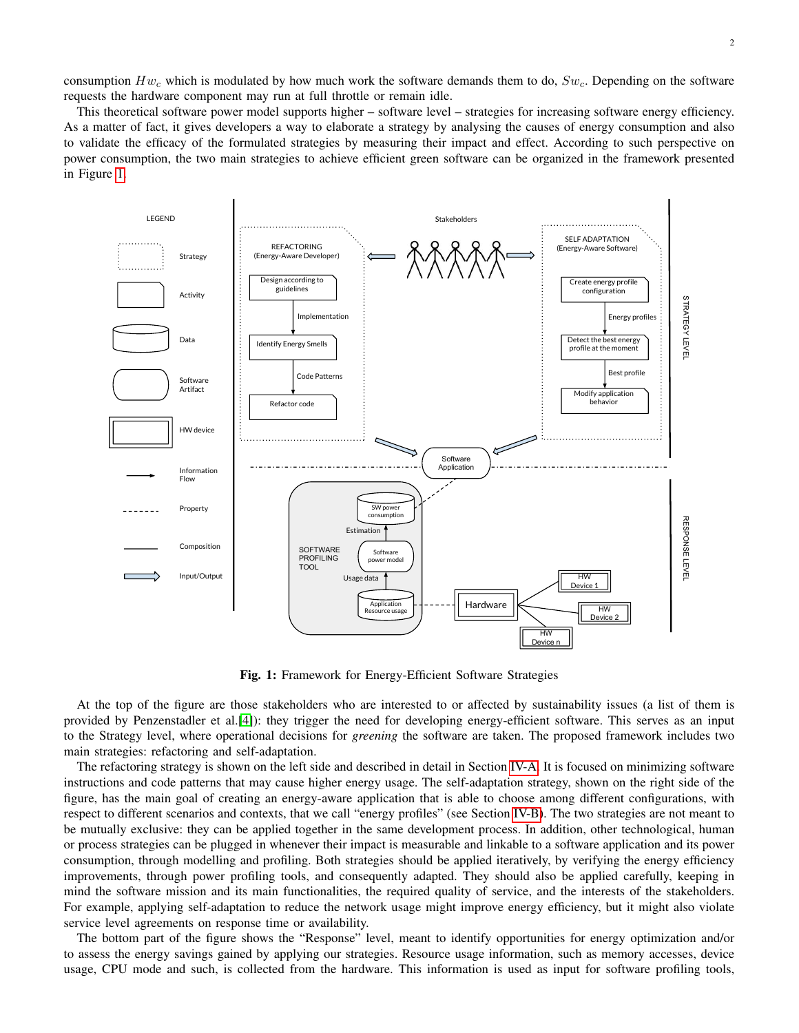consumption  $Hw_c$  which is modulated by how much work the software demands them to do,  $Sw_c$ . Depending on the software requests the hardware component may run at full throttle or remain idle.

This theoretical software power model supports higher – software level – strategies for increasing software energy efficiency. As a matter of fact, it gives developers a way to elaborate a strategy by analysing the causes of energy consumption and also to validate the efficacy of the formulated strategies by measuring their impact and effect. According to such perspective on power consumption, the two main strategies to achieve efficient green software can be organized in the framework presented in Figure [1.](#page-1-0)

<span id="page-1-0"></span>

Fig. 1: Framework for Energy-Efficient Software Strategies

At the top of the figure are those stakeholders who are interested to or affected by sustainability issues (a list of them is provided by Penzenstadler et al.[\[4\]](#page-5-3)): they trigger the need for developing energy-efficient software. This serves as an input to the Strategy level, where operational decisions for *greening* the software are taken. The proposed framework includes two main strategies: refactoring and self-adaptation.

The refactoring strategy is shown on the left side and described in detail in Section [IV-A.](#page-3-0) It is focused on minimizing software instructions and code patterns that may cause higher energy usage. The self-adaptation strategy, shown on the right side of the figure, has the main goal of creating an energy-aware application that is able to choose among different configurations, with respect to different scenarios and contexts, that we call "energy profiles" (see Section [IV-B\)](#page-3-1). The two strategies are not meant to be mutually exclusive: they can be applied together in the same development process. In addition, other technological, human or process strategies can be plugged in whenever their impact is measurable and linkable to a software application and its power consumption, through modelling and profiling. Both strategies should be applied iteratively, by verifying the energy efficiency improvements, through power profiling tools, and consequently adapted. They should also be applied carefully, keeping in mind the software mission and its main functionalities, the required quality of service, and the interests of the stakeholders. For example, applying self-adaptation to reduce the network usage might improve energy efficiency, but it might also violate service level agreements on response time or availability.

The bottom part of the figure shows the "Response" level, meant to identify opportunities for energy optimization and/or to assess the energy savings gained by applying our strategies. Resource usage information, such as memory accesses, device usage, CPU mode and such, is collected from the hardware. This information is used as input for software profiling tools,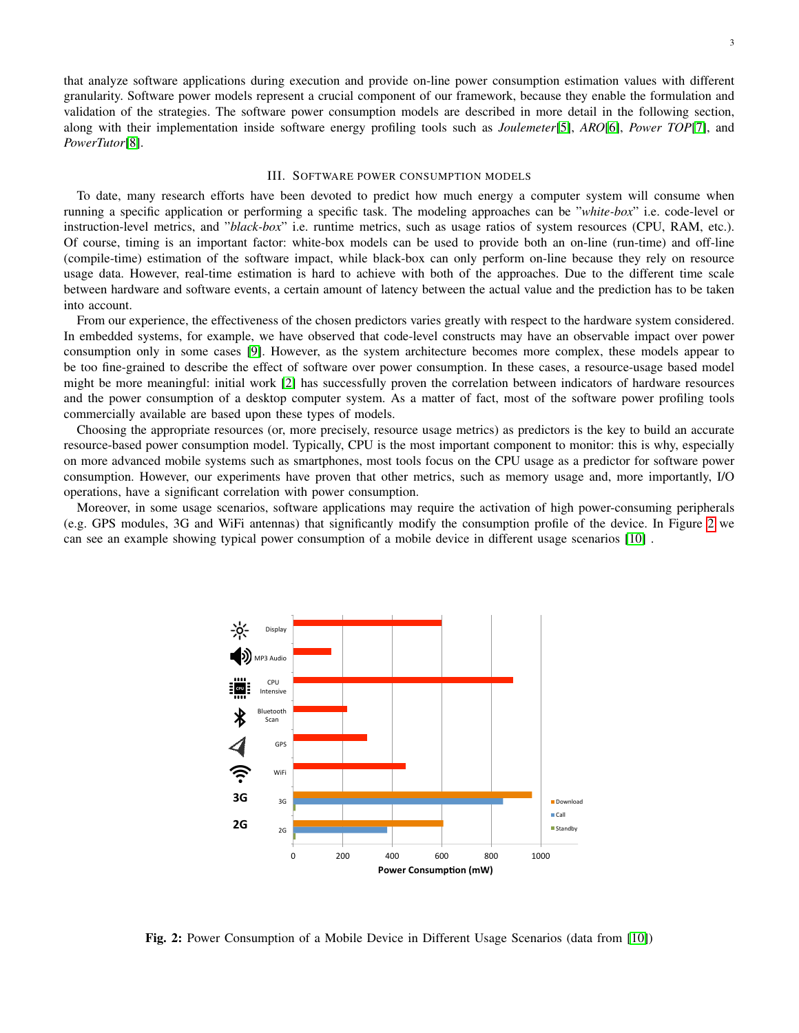that analyze software applications during execution and provide on-line power consumption estimation values with different granularity. Software power models represent a crucial component of our framework, because they enable the formulation and validation of the strategies. The software power consumption models are described in more detail in the following section, along with their implementation inside software energy profiling tools such as *Joulemeter*[\[5\]](#page-5-4), *ARO*[\[6\]](#page-5-5), *Power TOP*[\[7\]](#page-5-6), and *PowerTutor*[\[8\]](#page-5-7).

#### III. SOFTWARE POWER CONSUMPTION MODELS

<span id="page-2-1"></span>To date, many research efforts have been devoted to predict how much energy a computer system will consume when running a specific application or performing a specific task. The modeling approaches can be "*white-box*" i.e. code-level or instruction-level metrics, and "*black-box*" i.e. runtime metrics, such as usage ratios of system resources (CPU, RAM, etc.). Of course, timing is an important factor: white-box models can be used to provide both an on-line (run-time) and off-line (compile-time) estimation of the software impact, while black-box can only perform on-line because they rely on resource usage data. However, real-time estimation is hard to achieve with both of the approaches. Due to the different time scale between hardware and software events, a certain amount of latency between the actual value and the prediction has to be taken into account.

From our experience, the effectiveness of the chosen predictors varies greatly with respect to the hardware system considered. In embedded systems, for example, we have observed that code-level constructs may have an observable impact over power consumption only in some cases [\[9\]](#page-5-8). However, as the system architecture becomes more complex, these models appear to be too fine-grained to describe the effect of software over power consumption. In these cases, a resource-usage based model might be more meaningful: initial work [\[2\]](#page-5-1) has successfully proven the correlation between indicators of hardware resources and the power consumption of a desktop computer system. As a matter of fact, most of the software power profiling tools commercially available are based upon these types of models.

Choosing the appropriate resources (or, more precisely, resource usage metrics) as predictors is the key to build an accurate resource-based power consumption model. Typically, CPU is the most important component to monitor: this is why, especially on more advanced mobile systems such as smartphones, most tools focus on the CPU usage as a predictor for software power consumption. However, our experiments have proven that other metrics, such as memory usage and, more importantly, I/O operations, have a significant correlation with power consumption.

<span id="page-2-0"></span>Moreover, in some usage scenarios, software applications may require the activation of high power-consuming peripherals (e.g. GPS modules, 3G and WiFi antennas) that significantly modify the consumption profile of the device. In Figure [2](#page-2-0) we can see an example showing typical power consumption of a mobile device in different usage scenarios [\[10\]](#page-5-9) .



Fig. 2: Power Consumption of a Mobile Device in Different Usage Scenarios (data from [\[10\]](#page-5-9))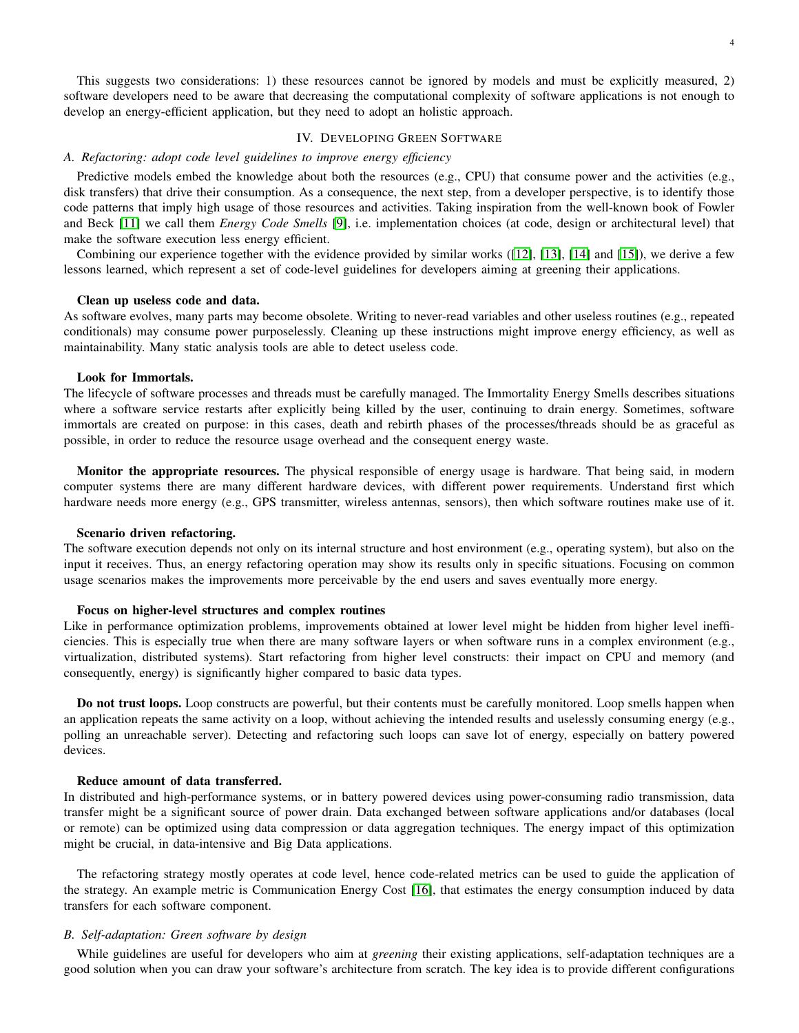This suggests two considerations: 1) these resources cannot be ignored by models and must be explicitly measured, 2) software developers need to be aware that decreasing the computational complexity of software applications is not enough to develop an energy-efficient application, but they need to adopt an holistic approach.

#### IV. DEVELOPING GREEN SOFTWARE

# <span id="page-3-0"></span>*A. Refactoring: adopt code level guidelines to improve energy efficiency*

Predictive models embed the knowledge about both the resources (e.g., CPU) that consume power and the activities (e.g., disk transfers) that drive their consumption. As a consequence, the next step, from a developer perspective, is to identify those code patterns that imply high usage of those resources and activities. Taking inspiration from the well-known book of Fowler and Beck [\[11\]](#page-5-10) we call them *Energy Code Smells* [\[9\]](#page-5-8), i.e. implementation choices (at code, design or architectural level) that make the software execution less energy efficient.

Combining our experience together with the evidence provided by similar works ([\[12\]](#page-5-11), [\[13\]](#page-5-12), [\[14\]](#page-5-13) and [\[15\]](#page-5-14)), we derive a few lessons learned, which represent a set of code-level guidelines for developers aiming at greening their applications.

## Clean up useless code and data.

As software evolves, many parts may become obsolete. Writing to never-read variables and other useless routines (e.g., repeated conditionals) may consume power purposelessly. Cleaning up these instructions might improve energy efficiency, as well as maintainability. Many static analysis tools are able to detect useless code.

# Look for Immortals.

The lifecycle of software processes and threads must be carefully managed. The Immortality Energy Smells describes situations where a software service restarts after explicitly being killed by the user, continuing to drain energy. Sometimes, software immortals are created on purpose: in this cases, death and rebirth phases of the processes/threads should be as graceful as possible, in order to reduce the resource usage overhead and the consequent energy waste.

Monitor the appropriate resources. The physical responsible of energy usage is hardware. That being said, in modern computer systems there are many different hardware devices, with different power requirements. Understand first which hardware needs more energy (e.g., GPS transmitter, wireless antennas, sensors), then which software routines make use of it.

## Scenario driven refactoring.

The software execution depends not only on its internal structure and host environment (e.g., operating system), but also on the input it receives. Thus, an energy refactoring operation may show its results only in specific situations. Focusing on common usage scenarios makes the improvements more perceivable by the end users and saves eventually more energy.

# Focus on higher-level structures and complex routines

Like in performance optimization problems, improvements obtained at lower level might be hidden from higher level inefficiencies. This is especially true when there are many software layers or when software runs in a complex environment (e.g., virtualization, distributed systems). Start refactoring from higher level constructs: their impact on CPU and memory (and consequently, energy) is significantly higher compared to basic data types.

Do not trust loops. Loop constructs are powerful, but their contents must be carefully monitored. Loop smells happen when an application repeats the same activity on a loop, without achieving the intended results and uselessly consuming energy (e.g., polling an unreachable server). Detecting and refactoring such loops can save lot of energy, especially on battery powered devices.

# Reduce amount of data transferred.

In distributed and high-performance systems, or in battery powered devices using power-consuming radio transmission, data transfer might be a significant source of power drain. Data exchanged between software applications and/or databases (local or remote) can be optimized using data compression or data aggregation techniques. The energy impact of this optimization might be crucial, in data-intensive and Big Data applications.

The refactoring strategy mostly operates at code level, hence code-related metrics can be used to guide the application of the strategy. An example metric is Communication Energy Cost [\[16\]](#page-5-15), that estimates the energy consumption induced by data transfers for each software component.

## <span id="page-3-1"></span>*B. Self-adaptation: Green software by design*

While guidelines are useful for developers who aim at *greening* their existing applications, self-adaptation techniques are a good solution when you can draw your software's architecture from scratch. The key idea is to provide different configurations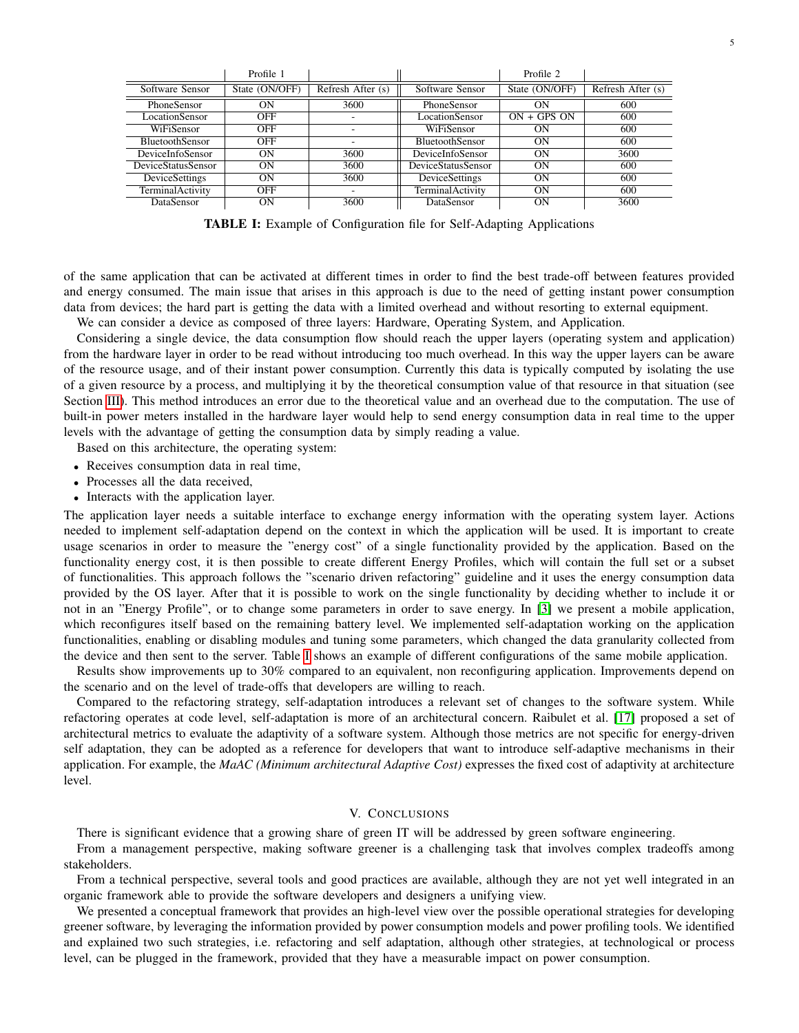<span id="page-4-0"></span>

|                        | Profile 1      |                   |                        | Profile 2      |                   |
|------------------------|----------------|-------------------|------------------------|----------------|-------------------|
| Software Sensor        | State (ON/OFF) | Refresh After (s) | Software Sensor        | State (ON/OFF) | Refresh After (s) |
| PhoneSensor            | OΝ             | 3600              | PhoneSensor            | OΝ             | 600               |
| LocationSensor         | <b>OFF</b>     |                   | LocationSensor         | $ON + GPS ON$  | 600               |
| WiFiSensor             | <b>OFF</b>     |                   | WiFiSensor             | OΝ             | 600               |
| <b>BluetoothSensor</b> | <b>OFF</b>     |                   | <b>BluetoothSensor</b> | OΝ             | 600               |
| DeviceInfoSensor       | OΝ             | 3600              | DeviceInfoSensor       | ON             | 3600              |
| DeviceStatusSensor     | OΝ             | 3600              | DeviceStatusSensor     | 0N             | 600               |
| <b>DeviceSettings</b>  | ON             | 3600              | DeviceSettings         | OΝ             | 600               |
| TerminalActivity       | <b>OFF</b>     |                   | TerminalActivity       | OΝ             | 600               |
| DataSensor             | ОN             | 3600              | DataSensor             | OΝ             | 3600              |

TABLE I: Example of Configuration file for Self-Adapting Applications

of the same application that can be activated at different times in order to find the best trade-off between features provided and energy consumed. The main issue that arises in this approach is due to the need of getting instant power consumption data from devices; the hard part is getting the data with a limited overhead and without resorting to external equipment.

We can consider a device as composed of three layers: Hardware, Operating System, and Application.

Considering a single device, the data consumption flow should reach the upper layers (operating system and application) from the hardware layer in order to be read without introducing too much overhead. In this way the upper layers can be aware of the resource usage, and of their instant power consumption. Currently this data is typically computed by isolating the use of a given resource by a process, and multiplying it by the theoretical consumption value of that resource in that situation (see Section [III\)](#page-2-1). This method introduces an error due to the theoretical value and an overhead due to the computation. The use of built-in power meters installed in the hardware layer would help to send energy consumption data in real time to the upper levels with the advantage of getting the consumption data by simply reading a value.

Based on this architecture, the operating system:

- Receives consumption data in real time,
- Processes all the data received,
- Interacts with the application layer.

The application layer needs a suitable interface to exchange energy information with the operating system layer. Actions needed to implement self-adaptation depend on the context in which the application will be used. It is important to create usage scenarios in order to measure the "energy cost" of a single functionality provided by the application. Based on the functionality energy cost, it is then possible to create different Energy Profiles, which will contain the full set or a subset of functionalities. This approach follows the "scenario driven refactoring" guideline and it uses the energy consumption data provided by the OS layer. After that it is possible to work on the single functionality by deciding whether to include it or not in an "Energy Profile", or to change some parameters in order to save energy. In [\[3\]](#page-5-2) we present a mobile application, which reconfigures itself based on the remaining battery level. We implemented self-adaptation working on the application functionalities, enabling or disabling modules and tuning some parameters, which changed the data granularity collected from the device and then sent to the server. Table [I](#page-4-0) shows an example of different configurations of the same mobile application.

Results show improvements up to 30% compared to an equivalent, non reconfiguring application. Improvements depend on the scenario and on the level of trade-offs that developers are willing to reach.

Compared to the refactoring strategy, self-adaptation introduces a relevant set of changes to the software system. While refactoring operates at code level, self-adaptation is more of an architectural concern. Raibulet et al. [\[17\]](#page-5-16) proposed a set of architectural metrics to evaluate the adaptivity of a software system. Although those metrics are not specific for energy-driven self adaptation, they can be adopted as a reference for developers that want to introduce self-adaptive mechanisms in their application. For example, the *MaAC (Minimum architectural Adaptive Cost)* expresses the fixed cost of adaptivity at architecture level.

#### V. CONCLUSIONS

There is significant evidence that a growing share of green IT will be addressed by green software engineering.

From a management perspective, making software greener is a challenging task that involves complex tradeoffs among stakeholders.

From a technical perspective, several tools and good practices are available, although they are not yet well integrated in an organic framework able to provide the software developers and designers a unifying view.

We presented a conceptual framework that provides an high-level view over the possible operational strategies for developing greener software, by leveraging the information provided by power consumption models and power profiling tools. We identified and explained two such strategies, i.e. refactoring and self adaptation, although other strategies, at technological or process level, can be plugged in the framework, provided that they have a measurable impact on power consumption.